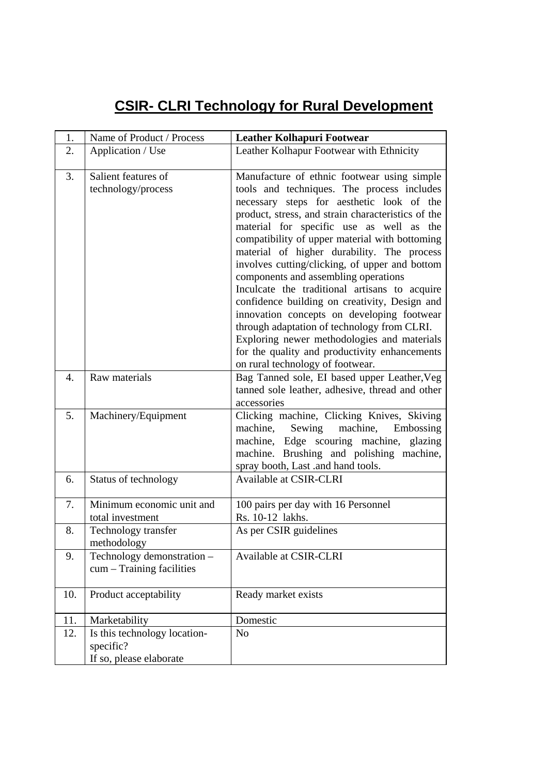## **CSIR- CLRI Technology for Rural Development**

| 1.  | Name of Product / Process                                            | <b>Leather Kolhapuri Footwear</b>                                                                                                                                                                                                                                                                                                                                                                                                                                                                                                                                                                                                                                                                                                                                     |
|-----|----------------------------------------------------------------------|-----------------------------------------------------------------------------------------------------------------------------------------------------------------------------------------------------------------------------------------------------------------------------------------------------------------------------------------------------------------------------------------------------------------------------------------------------------------------------------------------------------------------------------------------------------------------------------------------------------------------------------------------------------------------------------------------------------------------------------------------------------------------|
| 2.  | Application / Use                                                    | Leather Kolhapur Footwear with Ethnicity                                                                                                                                                                                                                                                                                                                                                                                                                                                                                                                                                                                                                                                                                                                              |
| 3.  | Salient features of<br>technology/process                            | Manufacture of ethnic footwear using simple<br>tools and techniques. The process includes<br>necessary steps for aesthetic look of the<br>product, stress, and strain characteristics of the<br>material for specific use as well as the<br>compatibility of upper material with bottoming<br>material of higher durability. The process<br>involves cutting/clicking, of upper and bottom<br>components and assembling operations<br>Inculcate the traditional artisans to acquire<br>confidence building on creativity, Design and<br>innovation concepts on developing footwear<br>through adaptation of technology from CLRI.<br>Exploring newer methodologies and materials<br>for the quality and productivity enhancements<br>on rural technology of footwear. |
| 4.  | Raw materials                                                        | Bag Tanned sole, EI based upper Leather, Veg<br>tanned sole leather, adhesive, thread and other<br>accessories                                                                                                                                                                                                                                                                                                                                                                                                                                                                                                                                                                                                                                                        |
| 5.  | Machinery/Equipment                                                  | Clicking machine, Clicking Knives, Skiving<br>machine,<br>Sewing<br>machine,<br>Embossing<br>machine, Edge scouring machine, glazing<br>machine. Brushing and polishing machine,<br>spray booth, Last .and hand tools.                                                                                                                                                                                                                                                                                                                                                                                                                                                                                                                                                |
| 6.  | Status of technology                                                 | Available at CSIR-CLRI                                                                                                                                                                                                                                                                                                                                                                                                                                                                                                                                                                                                                                                                                                                                                |
| 7.  | Minimum economic unit and<br>total investment                        | 100 pairs per day with 16 Personnel<br>Rs. 10-12 lakhs.                                                                                                                                                                                                                                                                                                                                                                                                                                                                                                                                                                                                                                                                                                               |
| 8.  | Technology transfer<br>methodology                                   | As per CSIR guidelines                                                                                                                                                                                                                                                                                                                                                                                                                                                                                                                                                                                                                                                                                                                                                |
| 9.  | Technology demonstration -<br>cum - Training facilities              | Available at CSIR-CLRI                                                                                                                                                                                                                                                                                                                                                                                                                                                                                                                                                                                                                                                                                                                                                |
| 10. | Product acceptability                                                | Ready market exists                                                                                                                                                                                                                                                                                                                                                                                                                                                                                                                                                                                                                                                                                                                                                   |
| 11. | Marketability                                                        | Domestic                                                                                                                                                                                                                                                                                                                                                                                                                                                                                                                                                                                                                                                                                                                                                              |
| 12. | Is this technology location-<br>specific?<br>If so, please elaborate | N <sub>o</sub>                                                                                                                                                                                                                                                                                                                                                                                                                                                                                                                                                                                                                                                                                                                                                        |